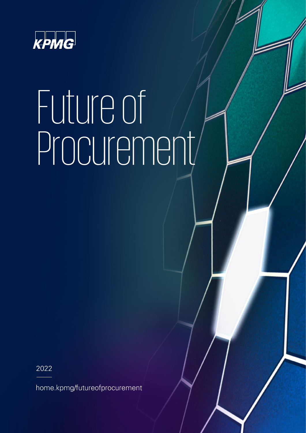

# Future of Procurement

2022

home.kpmg/futureofprocurement

Future of Procurement 0 © 2022 KPMG Advisory, a Belgian BV/SRL and a member firm of the KPMG global organization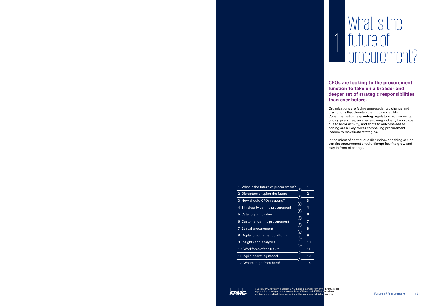Future of Procurement 2 © 2022 KPMG Advisory, a Belgian BV/SRL and a member firm of the KPMG global organization

Future of Processes  $\mathcal{L}$  and a member firm of the KPMG and a member firm of the KPMG global organization

### What is the future of procurement? future of procurement?

| 1. What is the future of procurement? | 1  |
|---------------------------------------|----|
| 2. Disruptors shaping the future      | 2  |
| 3. How should CPOs respond?           | 3  |
| 4. Third-party centric procurement    | 4  |
| 5. Category innovation                | 6  |
| 6. Customer-centric procurement       | 7  |
| 7. Ethical procurement                | 8  |
| 8. Digital procurement platform       | 9  |
| 9. Insights and analytics             | 10 |
| 10. Workforce of the future           | 11 |
| 11. Agile operating model             | 12 |
| 12. Where to go from here?            | 13 |

1

 $\overline{\mathbf{1}}$ 

### **CEOs are looking to the procurement CEOs are looking to the procurement function to take on a broader and function to take on a broader and deeper set of strategic responsibilities deeper set of strategic responsibilities than ever before. than ever before.**

Organizations are facing unprecedented change and Organizations are facing unprecedented change and disruptions that threaten their future viability. disruptions that threaten their future viability. Consumerization, expanding regulatory requirements, Consumerization, expanding regulatory requirements, pricing pressures, an ever-evolving industry landscape pricing pressures, an ever-evolving industry landscape due to M&A activity, and shifts to outcome-based due to M&A activity, and shifts to outcome-based pricing are all key forces compelling procurement pricing are all key forces compelling procurement leaders to reevaluate strategies. leaders to reevaluate strategies.

In the midst of continuous disruption, one thing can be In the midst of continuous disruption, one thing can be certain: procurement should disrupt itself to grow and certain: procurement should disrupt itself to grow and stay in front of change. stay in front of change.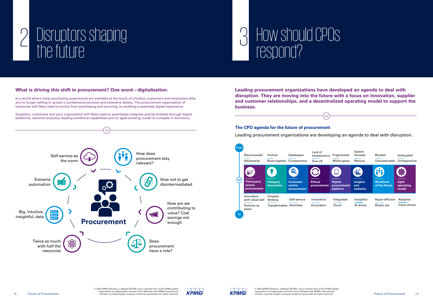





### How should CPOs respond?

# 2 Disruptors shaping the future

#### **The CPO agenda for the future of procurement**

Leading procurement organizations are developing an agenda to deal with disruption**.**



### **What is driving this shift in procurement? One word—digitalization.**

**Leading procurement organizations have developed an agenda to deal with disruption. They are moving into the future with a focus on innovation, supplier and customer relationships, and a decentralized operating model to support the business. business.**

In a world where most purchasing experiences are available at the touch of a button, customers and employees alike are no longer willing to accept a cumbersome process and extensive delays. The procurement organization of tomorrow will likely need to evolve from purchasing and sourcing, to enabling a seamless digital experience.

Suppliers, customers and your organization will likely need to seamlessly integrate and be enabled through digital platforms, extreme analytics, leading workforce capabilities and an agile working model to compete in the future.

| <b>From</b> | Disconnected<br>Adversarial                          | Tactical<br>Short-sighted                              | Gatekeeper<br>Cumbersome                        | Lack of<br>transparency<br>One-off | Fragmented<br>White-space                 | Spend-<br>focused<br>Manual         |
|-------------|------------------------------------------------------|--------------------------------------------------------|-------------------------------------------------|------------------------------------|-------------------------------------------|-------------------------------------|
|             | <b>Third-party</b><br>centric<br>procurement         | ¥<br><b>Category</b><br>innovation                     | Q<br><b>Customer-</b><br>centric<br>procurement | <b>Ethical</b><br>procurement      | <b>Digital</b><br>procurement<br>platform | <b>Insights</b><br>and<br>analytics |
| To          | Innovative<br>with value-add<br>Partners as<br>peers | Forward-<br>thinking<br><b>Transformative Seamless</b> | Self-service                                    | Innovative<br>Ecosystem            | Integrated<br>Cloud                       | Insightfu<br>Al driven              |

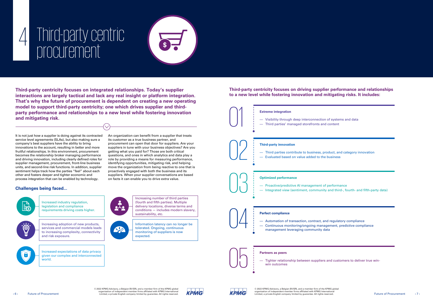$\Box$  © 2022 KPMG Advisory, a Belgian BV/SRL and a member firm of the KPMG global **n company or any limited by any limited vith KPMG International <b>company** organization of independent member firms affiliated with KPMG International Limited, a private English company limited by guarantee. All rights reserved. Future of Procurement ‹ 7 ›







**Third-party centricity focuses on driving supplier performance and relationships to a new level while fostering innovation and mitigating risks. It includes:**

# 4 Third-party centric procurement



 $\mathbf{Z}$ expected.

**Third-party centricity focuses on integrated relationships. Today's supplier interactions are largely tactical and lack any real insight or platform integration. That's why the future of procurement is dependent on creating a new operating model to support third-party centricity; one which drives supplier and thirdparty performance and relationships to a new level while fostering innovation and mitigating risk.**

It is not just how a supplier is doing against its contracted service level agreements (SLAs), but also making sure a company's best suppliers have the ability to bring innovations to the account, resulting in better and more fruitful relationships. In this environment, procurement becomes the relationship broker managing performance and driving innovation, including clearly defined roles for supplier management, procurement, front-line business units, and second-line risk functions. In addition, supplier sentiment helps track how the parties "feel" about each other and fosters deeper and tighter economic and process integration that can be enabled by technology.

An organization can benefit from a supplier that treats its customer as a true business partner, and procurement can open that door for suppliers. Are your suppliers in tune with your business objectives? Are you getting what you paid for? Those are both critical questions, and ones in which analytics and data play a role by providing a means for measuring performance, identifying opportunities, mitigating risk, and helping move the organization from being reactive to one that is proactively engaged with both the business and its suppliers. When your supplier conversations are based on facts it can enable you to drive extra value.

Increased industry regulation, legislation and compliance requirements driving costs higher.



Increasing adoption of new products, services and commercial models leads to increasing complexity, connectivity and risk exposure.



Increased expectations of data privacy given our complex and interconnected world.



Increasing number of third parties

(fourth and fifth parties). Multiple delivery locations, diverse terms and conditions — includes modern slavery, sustainability, etc.



### **Challenges being faced...**

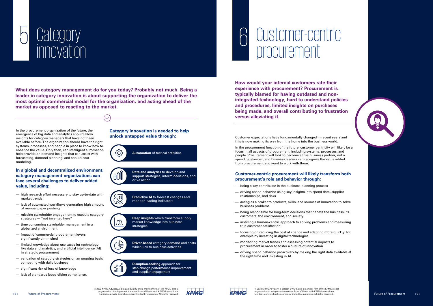Future of Processes  $\mathbb{R}$   $\mathbb{R}$  and a member firm of the KPMG and a member firm of the KPMG global organization







Customer expectations have fundamentally changed in recent years and this is now making its way from the home into the business world.

**How would your internal customers rate their experience with procurement? Procurement is typically blamed for having outdated and nonintegrated technology, hard to understand policies and procedures, limited insights on purchases being made, and overall contributing to frustration versus alleviating it.** experience with procurement? Procurement is<br>typically blamed for having outdated and non<br>integrated technology, hard to understand po<br>and procedures, limited insights on purchases<br>being made, and overall contributing to fr

In the procurement function of the future, customer centricity will likely be a focus in all aspects of procurement, including systems, processes, and people. Procurement will look to become a true business partner, not a spend gatekeeper, and business leaders can recognize the value added from procurement and want to work with them.

#### **Customer-centric procurement will likely transform both procurement's role and behavior through:**

- being a key contributor in the business-planning process
- $-$  driving spend behavior using key insights into spend data, supplier relationships, and risks
- acting as a broker to products, skills, and sources of innovation to solve business problems
- $-$  being responsible for long-term decisions that benefit the business, its customers, the environment, and society
- $\overline{\phantom{a}}$  instilling a human-centric approach to solving problems and measuring true customer satisfaction
- $f$  focusing on reducing the cost of change and adapting more quickly, for example by investing in digital technologies
- monitoring market trends and assessing potential impacts to procurement in order to foster a culture of innovation
- $-$  driving spend behavior proactively by making the right data available at the right time and investing in AI.

**What does category management do for you today? Probably not much. Being a leader in category innovation is about supporting the organization to deliver the most optimal commercial model for the organization, and acting ahead of the market as opposed to reacting to the market.**

 $\checkmark$ 



In the procurement organization of the future, the emergence of big data and analytics should allow insights for category managers that have not been available before. The organization should have the right systems, processes, and people in place to know how to enhance the value. Only then, can intelligent automation help provide on-demand insights that can assist with forecasting, demand planning, and should-cost modeling.

#### **In a global and decentralized environment, category management organizations can face several challenges to deliver added value, including:**

- high research effort necessary to stay up-to-date with market trends
- lack of automated workflows generating high amount of manual paper pushing
- missing stakeholder engagement to execute category strategies — "not invented here"
- time consuming stakeholder management in a globalized environment
- impact of commercial procurement levers significantly diminished
- limited knowledge about use cases for technology like data and analytics, and artificial intelligence (AI) in strategic procurement
- validation of category strategies on an ongoing basis competing with daily business
- significant risk of loss of knowledge
- lack of standards jeopardizing compliance.



**Data and analytics** to develop and support strategies, inform decisions, and drive action

**Predictive AI** to forecast changes and monitor leading indicators



 $\sqrt{2}$ 

 $2\overline{u}$ <u>hbol</u>

> **Deep insights** which transform supply market knowledge into business strategies

**Driver-based** category demand and costs which link to business activities



**Disruption-seeking** approach for step-change performance improvement and supplier engagement

**Category innovation is needed to help unlock untapped value through: unlock untapped value through:**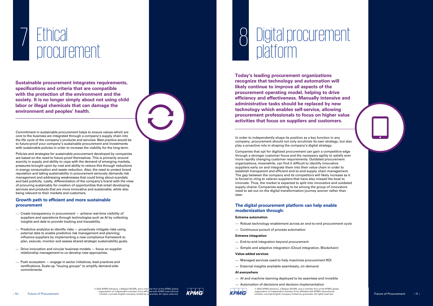Future of Processes  $\mathcal{L}_{\mathcal{A}}$  and a member firm of the KPMG global organization of the KPMG global organization



# 7 Ethical procurement

Commitment in sustainable procurement helps to ensure values which are core to the business are integrated through a company's supply chain into the life cycle of the company's products and services. Best practice would be to future-proof your company's sustainable procurement and investments with sustainable policies in order to increase the viability for the long-term.

Policies and strategies for sustainable procurement developed by companies are based on the need to future-proof themselves. This is primarily around scarcity in supply and ability to cope with the demand of emerging markets, pressures brought upon by cost and ability to reduce this through reductions in energy consumption and waste reduction. Also, the need to protect brand reputation and taking sustainability in procurement seriously demands risk management and addressing weaknesses that could bring about scandals and bad publicity. Lastly, differentiation of the company's brand with the view of procuring sustainably for creation of opportunities that entail developing services and products that are more innovative and sustainable, while also being relevant to their markets and customers.

## 8 Digital procurement platform

#### **Growth path to efficient and more sustainable procurement**

- Create transparency in procurement achieve real-time visibility of suppliers and operations through technologies such as AI by collecting insights and data to provide tracking and traceability.
- $-$  Predictive analytics to identify risks  $-$  proactively mitigate risks using external data to enable predictive risk management and planning; influence suppliers by implementing a new compliance framework to plan, execute, monitor and assess shared strategic sustainability goals.
- Drive innovation and circular business models focus on supplier relationship management to co-develop new approaches.
- Push ecosystem engage in sector initiatives, best practices and certifications. Scale-up "buying groups" to amplify demand-side commitments.

**Sustainable procurement integrates requirements, specifications and criteria that are compatible with the protection of the environment and the society. It is no longer simply about not using child labor or illegal chemicals that can damage the environment and peoples' health.**

Future of Procurement 10 © 2022 KPMG Advisory, a Belgian BV/SRL and a member firm of the KPMG global organization

In order to independently shape its position as a key function in any company, procurement should not only scrutinize its own strategy, but also play a proactive role in shaping the company's digital strategy.

Companies that opt for digitized procurement can gain a competitive edge through a stronger customer focus and the necessary agility to satisfy ever more rapidly changing customer requirements. Outdated procurement organizations, meanwhile, can find it difficult to identify innovative suppliers early on and integrate them into their value chain in order to establish transparent and efficient end-to-end supply chain management. The gap between the company and its competitors will likely increase as it is forced to cling to veteran suppliers that have also missed the boat to innovate. Thus, the market is expected to split into innovative and outdated supply chains. Companies wanting to be among the group of innovators need to set out on the digital transformation journey sooner rather than later.

#### **The digital procurement platform can help enable modernization through:**

#### **Extreme automation**

- Robust technology enablement across an end-to-end procurement cycle
- Continuous pursuit of process automation

#### **Extreme integration**

End-to-end integration beyond procurement

- Simple and adaptive integration (Cloud integration, Blockchain)

#### **Value-added services**

- Managed services used to help maximize procurement ROI
- External insights available seamlessly, on-demand

#### **AI everywhere**

AI and machine learning deployed to be seamless and invisible

#### Automation of decisions and decision implementation



© 2022 KPMG Advisory, a Belgian BV/SRL and a member firm of the KPMG global organization of independent member firms affiliated with KPMG International Limited, a private English company limited by guarantee. All rights reserved. Future of Procurement (11)

**Today's leading procurement organizations recognize that technology and automation will likely continue to improve all aspects of the procurement operating model, helping to drive efficiency and effectiveness. Manually intensive and administrative tasks should be replaced by new technology which enables self-service, allowing procurement professionals to focus on higher value activities that focus on suppliers and customers.**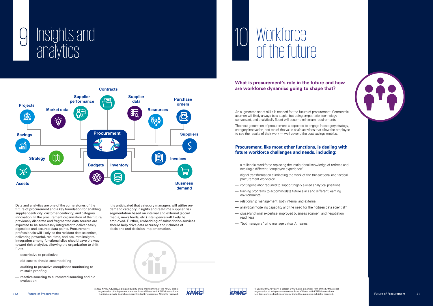© 2022 KPMG Advisory, a Belgian BV/SRL and a member firm of the KPMG global organization of independent member firms affiliated with KPMG International Limited, a private English company limited by guarantee. All rights reserved. Future of Procurement ‹ 13 ›

organization of independent member firms affiliated with KPMG International ‹ 12 › Future of Procurement Limited, a private English company limited by guarantee. All rights reserved.









# 10 Workforce of the future

Future of Procurement 12 © 2022 KPMG Advisory, a Belgian BV/SRL and a member firm of the KPMG global organization

### **What is procurement's role in the future and how are workforce dynamics going to shape that?**

An augmented set of skills is needed for the future of procurement. Commercial acumen will likely always be a staple, but being empathetic, technology conversant, and analytically fluent will become minimum requirements.

The next generation of procurement is expected to engage in category strategy, category innovation, and top of the value chain activities that allow the employee to see the results of their work — well beyond the cost savings metrics.

### Procurement, like most other functions, is dealing with future workforce challenges and needs, including:

- a millennial workforce replacing the institutional knowledge of retirees and desiring a different "employee experience"
- digital transformation eliminating the work of the transactional and tactical procurement workforce
- contingent labor required to support highly skilled analytical positions
- training programs to accommodate future skills and different learning environments
- relationship management, both internal and external
- analytical modeling capability and the need for the "citizen data scientist"
- cross-functional expertise, improved business acumen, and negotiation readiness
- "bot managers" who manage virtual AI teams.

- descriptive to predictive
- $-$  did-cost to should-cost modeling
- auditing to proactive compliance monitoring to mistake proofing
- reactive sourcing to automated sourcing and bid evaluation.



Data and analytics are one of the cornerstones of the future of procurement and a key foundation for enabling supplier-centricity, customer-centricity, and category innovation. In the procurement organization of the future, previously disparate and fragmented data sources are expected to be seamlessly integrated to deliver easily digestible and accurate data points. Procurement professionals will likely be the resident data scientists, delivering powerful, real-time, and accurate insights. Integration among functional silos should pave the way toward rich analytics, allowing the organization to shift from:

It is anticipated that category managers will utilize ondemand category insights and real-time supplier risk segmentation based on internal and external (social media, news feeds, etc.) intelligence will likely be employed. Further, embedding of subscription services should help drive data accuracy and richness of decisions and decision implementation.

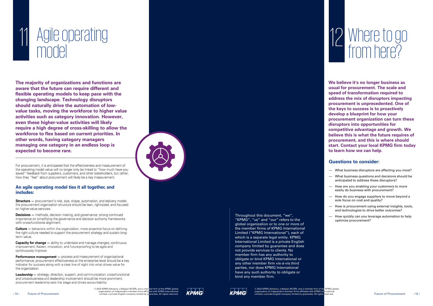# Where to go from here? 12

**We believe it's no longer business as usual for procurement. The scale and speed of transformation required to address the mix of disruptors impacting procurement is unprecedented. One of the keys to success is to proactively develop a blueprint for how your procurement organization can turn these disruptors into opportunities for competitive advantage and growth. We believe this is what the future requires of procurement, and this is where should start. Contact your local KPMG firm today to learn how we can help.**

#### **Questions to consider:**

- What business disruptors are affecting you most?
- What business questions and decisions should be anticipated to address these disruptors?
- How are you enabling your customers to more easily do business with procurement?
- How do you engage suppliers to move beyond a sole focus on cost and quality?
- How is procurement using external insights, tools, and technologies to drive better outcomes?
- How quickly can you leverage automation to help optimize procurement?

Further of Processes  $\mathcal{L}_{\mathcal{A}}$  and a member firm of the KPMG global organization of the KPMG global organization

Throughout this document, "we", "KPMG", "us" and "our" refers to the global organization or to one or more of the member firms of KPMG International Limited ("KPMG International"), each of which is a separate legal entity. KPMG International Limited is a private English company limited by guarantee and does not provide services to clients. No member firm has any authority to obligate or bind KPMG International or any other member firm vis-à-vis third parties, nor does KPMG International have any such authority to obligate or bind any member firm.



KPMG

© 2022 KPMG Advisory, a Belgian BV/SRL and a member firm of the KPMG global<br>organization of independent member firms affiliated with KPMG International<br>Limited, a private English company limited by guarantee. All rights <mark>r</mark>

2022 KPMG Advisory, a Belgian BV/SRL and a member firm of the KPMG global ©<br>organization of independent member firms affiliated with KPMG International<br>Limited, a private English company limited by guarantee. All rights re

Future of Procurement 13 © 2022 KPMG Advisory, a Belgian BV/SRL and a member firm of the KPMG global organization

# 11 Agile operating model<br>model

**The majority of organizations and functions are aware that the future can require different and flexible operating models to keep pace with the changing landscape. Technology disruptors should naturally drive the automation of lowvalue tasks, moving the workforce to higher value activities such as category innovation. However, even these higher-value activities will likely require a high degree of cross-skilling to allow the workforce to flex based on current priorities. In other words, having category managers managing one category in an endless loop is expected to become rare.** 

For procurement, it is anticipated that the effectiveness and measurement of the operating model value will no longer only be linked to "how much have you saved" feedback from suppliers, customers, and other stakeholders, but rather, how they "feel" about procurement will likely be a key measurement.

#### An agile operating model ties it all together, and includes:

**Structure** – procurement's role, size, shape, automation, and delivery model; the procurement organization structure should be lean, right-sized, and focused on higher-value services.

**Decisions** – methods, decision making, and governance; strong continued importance on simplifying the governance and decision authority frameworks with cross-functional alignment.

**Culture** – behaviors within the organization; more proactive focus on defining the right culture needed to support the procurement strategy and sustain longterm value.

**Capacity for change** – ability to undertake and manage changes; continuous improvement, Kaizen, innovation, and future-proofing to be agile and continuously improve.

**Performance management** - process and measurement of organizational performance; procurement effectiveness at the enterprise level should be a key indicator for success along with a clear line of sight into what drives value for the organization.

**Leadership** – strategy, direction, support, and communication; cross-functional and cross-business-unit leadership involvement should be more prominent; procurement leadership sets the stage and drives accountability.